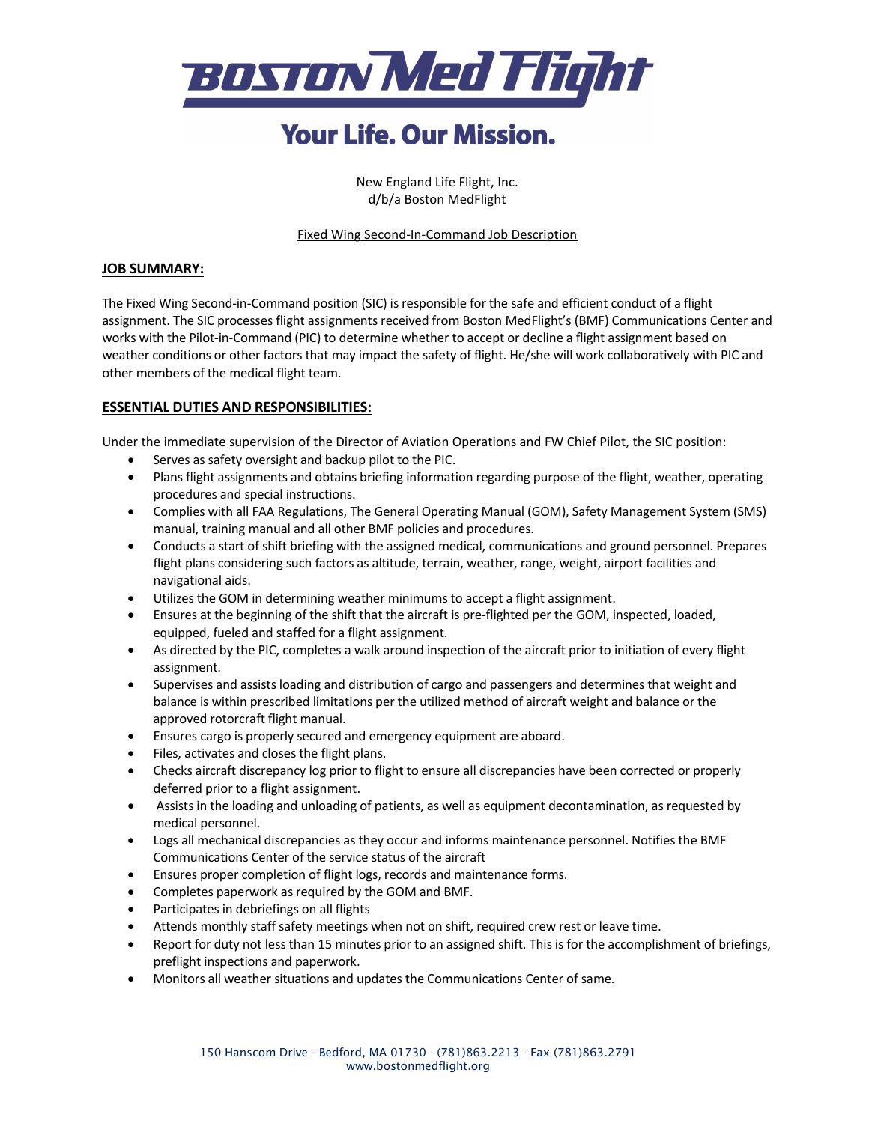

# **Your Life, Our Mission.**

New England Life Flight, Inc. d/b/a Boston MedFlight

#### Fixed Wing Second-In-Command Job Description

#### **JOB SUMMARY:**

The Fixed Wing Second-in-Command position (SIC) is responsible for the safe and efficient conduct of a flight assignment. The SIC processes flight assignments received from Boston MedFlight's (BMF) Communications Center and works with the Pilot-in-Command (PIC) to determine whether to accept or decline a flight assignment based on weather conditions or other factors that may impact the safety of flight. He/she will work collaboratively with PIC and other members of the medical flight team.

### **ESSENTIAL DUTIES AND RESPONSIBILITIES:**

Under the immediate supervision of the Director of Aviation Operations and FW Chief Pilot, the SIC position:

- Serves as safety oversight and backup pilot to the PIC.
- Plans flight assignments and obtains briefing information regarding purpose of the flight, weather, operating procedures and special instructions.
- Complies with all FAA Regulations, The General Operating Manual (GOM), Safety Management System (SMS) manual, training manual and all other BMF policies and procedures.
- Conducts a start of shift briefing with the assigned medical, communications and ground personnel. Prepares flight plans considering such factors as altitude, terrain, weather, range, weight, airport facilities and navigational aids.
- Utilizes the GOM in determining weather minimums to accept a flight assignment.
- Ensures at the beginning of the shift that the aircraft is pre-flighted per the GOM, inspected, loaded, equipped, fueled and staffed for a flight assignment.
- As directed by the PIC, completes a walk around inspection of the aircraft prior to initiation of every flight assignment.
- Supervises and assists loading and distribution of cargo and passengers and determines that weight and balance is within prescribed limitations per the utilized method of aircraft weight and balance or the approved rotorcraft flight manual.
- Ensures cargo is properly secured and emergency equipment are aboard.
- Files, activates and closes the flight plans.
- Checks aircraft discrepancy log prior to flight to ensure all discrepancies have been corrected or properly deferred prior to a flight assignment.
- Assists in the loading and unloading of patients, as well as equipment decontamination, as requested by medical personnel.
- Logs all mechanical discrepancies as they occur and informs maintenance personnel. Notifies the BMF Communications Center of the service status of the aircraft
- Ensures proper completion of flight logs, records and maintenance forms.
- Completes paperwork as required by the GOM and BMF.
- Participates in debriefings on all flights
- Attends monthly staff safety meetings when not on shift, required crew rest or leave time.
- Report for duty not less than 15 minutes prior to an assigned shift. This is for the accomplishment of briefings, preflight inspections and paperwork.
- Monitors all weather situations and updates the Communications Center of same.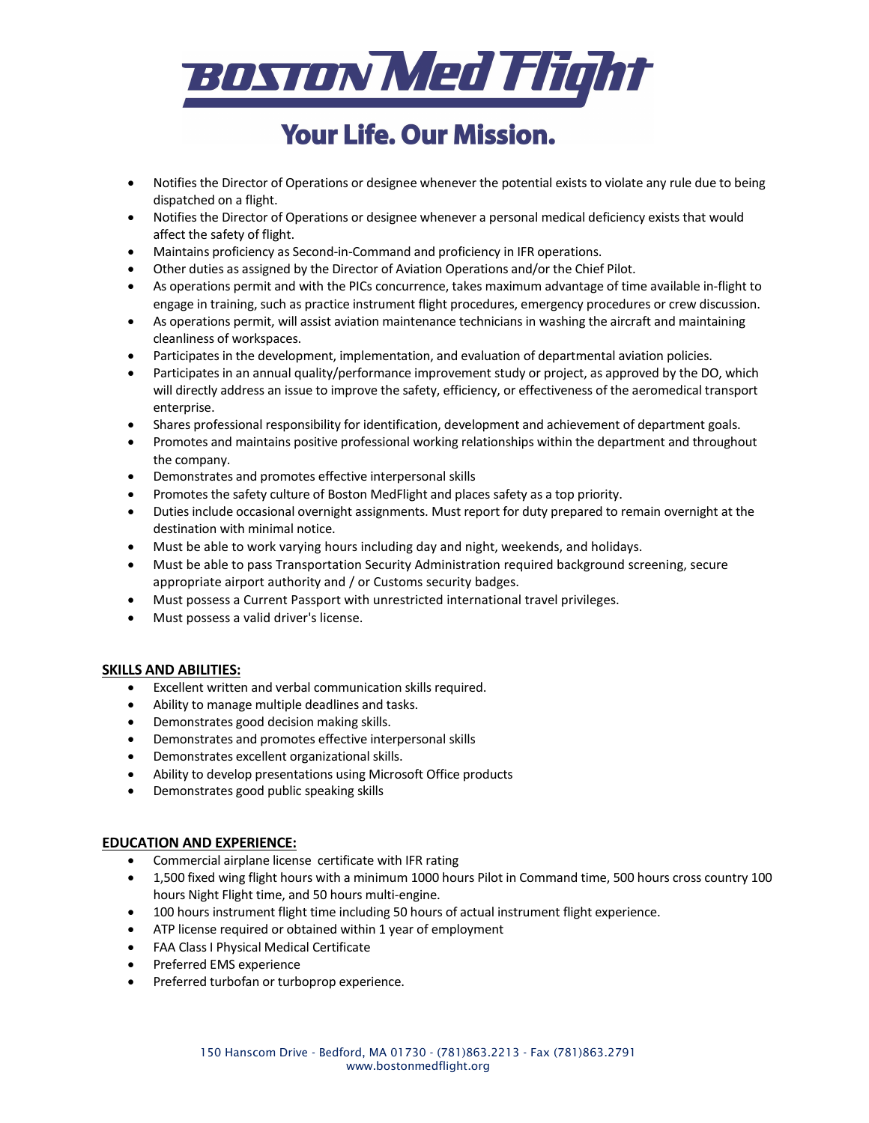

# **Your Life, Our Mission.**

- Notifies the Director of Operations or designee whenever the potential exists to violate any rule due to being dispatched on a flight.
- Notifies the Director of Operations or designee whenever a personal medical deficiency exists that would affect the safety of flight.
- Maintains proficiency as Second-in-Command and proficiency in IFR operations.
- Other duties as assigned by the Director of Aviation Operations and/or the Chief Pilot.
- As operations permit and with the PICs concurrence, takes maximum advantage of time available in-flight to engage in training, such as practice instrument flight procedures, emergency procedures or crew discussion.
- As operations permit, will assist aviation maintenance technicians in washing the aircraft and maintaining cleanliness of workspaces.
- Participates in the development, implementation, and evaluation of departmental aviation policies.
- Participates in an annual quality/performance improvement study or project, as approved by the DO, which will directly address an issue to improve the safety, efficiency, or effectiveness of the aeromedical transport enterprise.
- Shares professional responsibility for identification, development and achievement of department goals.
- Promotes and maintains positive professional working relationships within the department and throughout the company.
- Demonstrates and promotes effective interpersonal skills
- Promotes the safety culture of Boston MedFlight and places safety as a top priority.
- Duties include occasional overnight assignments. Must report for duty prepared to remain overnight at the destination with minimal notice.
- Must be able to work varying hours including day and night, weekends, and holidays.
- Must be able to pass Transportation Security Administration required background screening, secure appropriate airport authority and / or Customs security badges.
- Must possess a Current Passport with unrestricted international travel privileges.
- Must possess a valid driver's license.

### **SKILLS AND ABILITIES:**

- Excellent written and verbal communication skills required.
- Ability to manage multiple deadlines and tasks.
- Demonstrates good decision making skills.
- Demonstrates and promotes effective interpersonal skills
- Demonstrates excellent organizational skills.
- Ability to develop presentations using Microsoft Office products
- Demonstrates good public speaking skills

#### **EDUCATION AND EXPERIENCE:**

- Commercial airplane license certificate with IFR rating
- 1,500 fixed wing flight hours with a minimum 1000 hours Pilot in Command time, 500 hours cross country 100 hours Night Flight time, and 50 hours multi-engine.
- 100 hours instrument flight time including 50 hours of actual instrument flight experience.
- ATP license required or obtained within 1 year of employment
- FAA Class I Physical Medical Certificate
- Preferred EMS experience
- Preferred turbofan or turboprop experience.